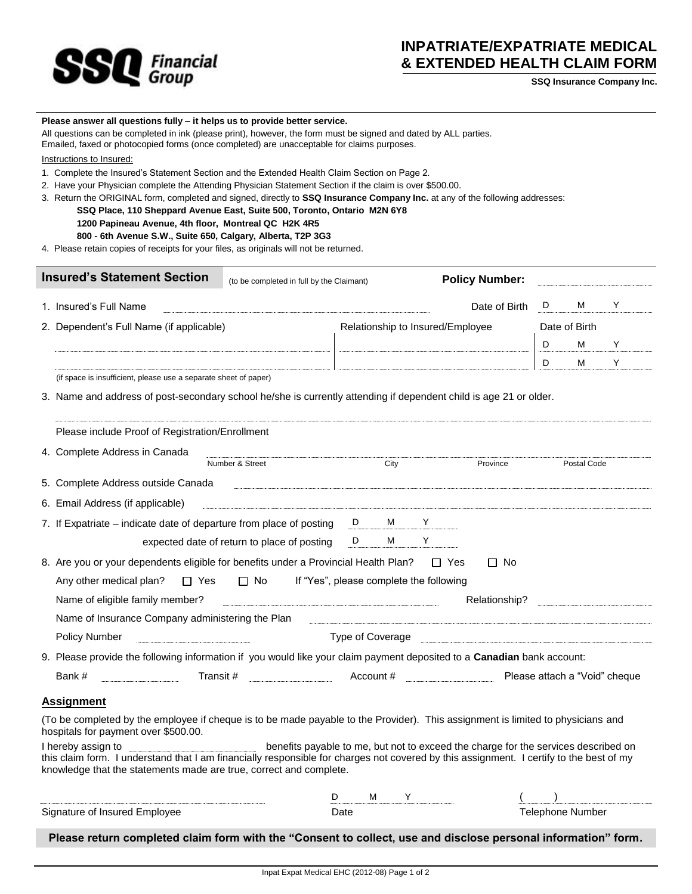

## **INPATRIATE/EXPATRIATE MEDICAL & EXTENDED HEALTH CLAIM FORM**

**SSQ Insurance Company Inc.**

## **Please answer all questions fully – it helps us to provide better service.**

All questions can be completed in ink (please print), however, the form must be signed and dated by ALL parties.

Emailed, faxed or photocopied forms (once completed) are unacceptable for claims purposes.

Instructions to Insured:

- 1. Complete the Insured's Statement Section and the Extended Health Claim Section on Page 2.
- 2. Have your Physician complete the Attending Physician Statement Section if the claim is over \$500.00.
- 3. Return the ORIGINAL form, completed and signed, directly to **SSQ Insurance Company Inc.** at any of the following addresses:
	- **SSQ Place, 110 Sheppard Avenue East, Suite 500, Toronto, Ontario M2N 6Y8**
		- **1200 Papineau Avenue, 4th floor, Montreal QC H2K 4R5**
		- **800 - 6th Avenue S.W., Suite 650, Calgary, Alberta, T2P 3G3**
- 4. Please retain copies of receipts for your files, as originals will not be returned.

| <b>Insured's Statement Section</b>                                                                                                                                      |                                                                                                                                                                                                                                                      | (to be completed in full by the Claimant)                                          |                                  |               |            | <b>Policy Number:</b> |   |                               |   |  |
|-------------------------------------------------------------------------------------------------------------------------------------------------------------------------|------------------------------------------------------------------------------------------------------------------------------------------------------------------------------------------------------------------------------------------------------|------------------------------------------------------------------------------------|----------------------------------|---------------|------------|-----------------------|---|-------------------------------|---|--|
|                                                                                                                                                                         | 1. Insured's Full Name                                                                                                                                                                                                                               |                                                                                    |                                  |               |            | Date of Birth         | D | M                             | Y |  |
|                                                                                                                                                                         | 2. Dependent's Full Name (if applicable)                                                                                                                                                                                                             |                                                                                    | Relationship to Insured/Employee |               |            |                       |   | Date of Birth                 |   |  |
|                                                                                                                                                                         |                                                                                                                                                                                                                                                      |                                                                                    |                                  |               |            |                       | D | М                             | Y |  |
|                                                                                                                                                                         |                                                                                                                                                                                                                                                      |                                                                                    |                                  |               |            |                       | D | м                             | Y |  |
|                                                                                                                                                                         | (if space is insufficient, please use a separate sheet of paper)                                                                                                                                                                                     |                                                                                    |                                  |               |            |                       |   |                               |   |  |
|                                                                                                                                                                         | 3. Name and address of post-secondary school he/she is currently attending if dependent child is age 21 or older.                                                                                                                                    |                                                                                    |                                  |               |            |                       |   |                               |   |  |
|                                                                                                                                                                         | Please include Proof of Registration/Enrollment                                                                                                                                                                                                      |                                                                                    |                                  |               |            |                       |   |                               |   |  |
|                                                                                                                                                                         | 4. Complete Address in Canada                                                                                                                                                                                                                        |                                                                                    |                                  |               |            |                       |   |                               |   |  |
|                                                                                                                                                                         |                                                                                                                                                                                                                                                      | Number & Street                                                                    |                                  | City          |            | Province              |   | Postal Code                   |   |  |
|                                                                                                                                                                         | 5. Complete Address outside Canada                                                                                                                                                                                                                   |                                                                                    |                                  |               |            |                       |   |                               |   |  |
|                                                                                                                                                                         | 6. Email Address (if applicable)                                                                                                                                                                                                                     |                                                                                    |                                  |               |            |                       |   |                               |   |  |
|                                                                                                                                                                         | 7. If Expatriate – indicate date of departure from place of posting                                                                                                                                                                                  |                                                                                    | D <sub>a</sub>                   | M             | Y          |                       |   |                               |   |  |
|                                                                                                                                                                         |                                                                                                                                                                                                                                                      | expected date of return to place of posting                                        | D                                | м             | Y          |                       |   |                               |   |  |
|                                                                                                                                                                         | 8. Are you or your dependents eligible for benefits under a Provincial Health Plan?                                                                                                                                                                  |                                                                                    |                                  |               | $\Box$ Yes | $\Box$ No             |   |                               |   |  |
|                                                                                                                                                                         | $\Box$ No<br>If "Yes", please complete the following<br>Any other medical plan?<br>$\Box$ Yes                                                                                                                                                        |                                                                                    |                                  |               |            |                       |   |                               |   |  |
|                                                                                                                                                                         | Name of eligible family member?                                                                                                                                                                                                                      |                                                                                    |                                  | Relationship? |            |                       |   |                               |   |  |
| Name of Insurance Company administering the Plan                                                                                                                        |                                                                                                                                                                                                                                                      |                                                                                    |                                  |               |            |                       |   |                               |   |  |
|                                                                                                                                                                         | Policy Number<br>Type of Coverage <b>contract to the Coverage</b> contract to the contract of the contract of the contract of the contract of the contract of the contract of the contract of the contract of the contract of the contract of the co |                                                                                    |                                  |               |            |                       |   |                               |   |  |
|                                                                                                                                                                         | 9. Please provide the following information if you would like your claim payment deposited to a Canadian bank account:                                                                                                                               |                                                                                    |                                  |               |            |                       |   |                               |   |  |
| Account #<br>Transit #<br>Bank #                                                                                                                                        |                                                                                                                                                                                                                                                      |                                                                                    |                                  |               |            |                       |   | Please attach a "Void" cheque |   |  |
|                                                                                                                                                                         | <b>Assignment</b>                                                                                                                                                                                                                                    |                                                                                    |                                  |               |            |                       |   |                               |   |  |
| (To be completed by the employee if cheque is to be made payable to the Provider). This assignment is limited to physicians and<br>hospitals for payment over \$500.00. |                                                                                                                                                                                                                                                      |                                                                                    |                                  |               |            |                       |   |                               |   |  |
|                                                                                                                                                                         | I hereby assign to<br>this claim form. I understand that I am financially responsible for charges not covered by this assignment. I certify to the best of my<br>knowledge that the statements made are true, correct and complete.                  | benefits payable to me, but not to exceed the charge for the services described on |                                  |               |            |                       |   |                               |   |  |
|                                                                                                                                                                         |                                                                                                                                                                                                                                                      | D                                                                                  | м                                | Y             |            |                       |   |                               |   |  |
|                                                                                                                                                                         | Signature of Insured Employee                                                                                                                                                                                                                        |                                                                                    | Date                             |               |            |                       |   | <b>Telephone Number</b>       |   |  |

**Please return completed claim form with the "Consent to collect, use and disclose personal information" form.**